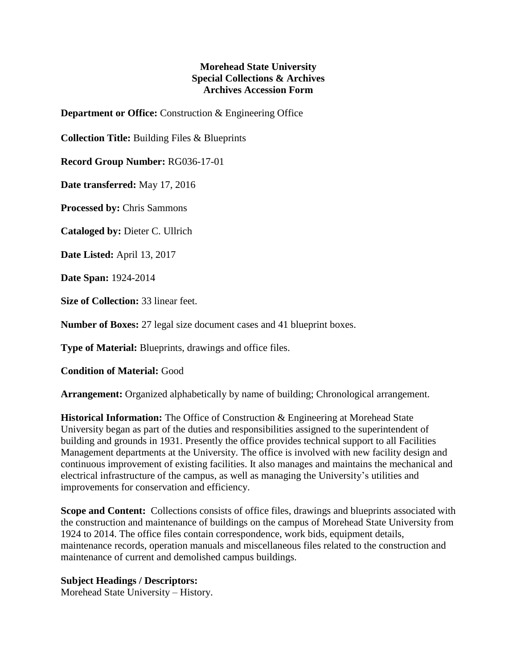## **Morehead State University Special Collections & Archives Archives Accession Form**

**Department or Office:** Construction & Engineering Office

**Collection Title:** Building Files & Blueprints

**Record Group Number:** RG036-17-01

**Date transferred:** May 17, 2016

**Processed by:** Chris Sammons

**Cataloged by:** Dieter C. Ullrich

**Date Listed:** April 13, 2017

**Date Span:** 1924-2014

**Size of Collection:** 33 linear feet.

**Number of Boxes:** 27 legal size document cases and 41 blueprint boxes.

**Type of Material:** Blueprints, drawings and office files.

## **Condition of Material:** Good

**Arrangement:** Organized alphabetically by name of building; Chronological arrangement.

**Historical Information:** The Office of Construction & Engineering at Morehead State University began as part of the duties and responsibilities assigned to the superintendent of building and grounds in 1931. Presently the office provides technical support to all Facilities Management departments at the University. The office is involved with new facility design and continuous improvement of existing facilities. It also manages and maintains the mechanical and electrical infrastructure of the campus, as well as managing the University's utilities and improvements for conservation and efficiency.

**Scope and Content:** Collections consists of office files, drawings and blueprints associated with the construction and maintenance of buildings on the campus of Morehead State University from 1924 to 2014. The office files contain correspondence, work bids, equipment details, maintenance records, operation manuals and miscellaneous files related to the construction and maintenance of current and demolished campus buildings.

## **Subject Headings / Descriptors:**

Morehead State University – History.